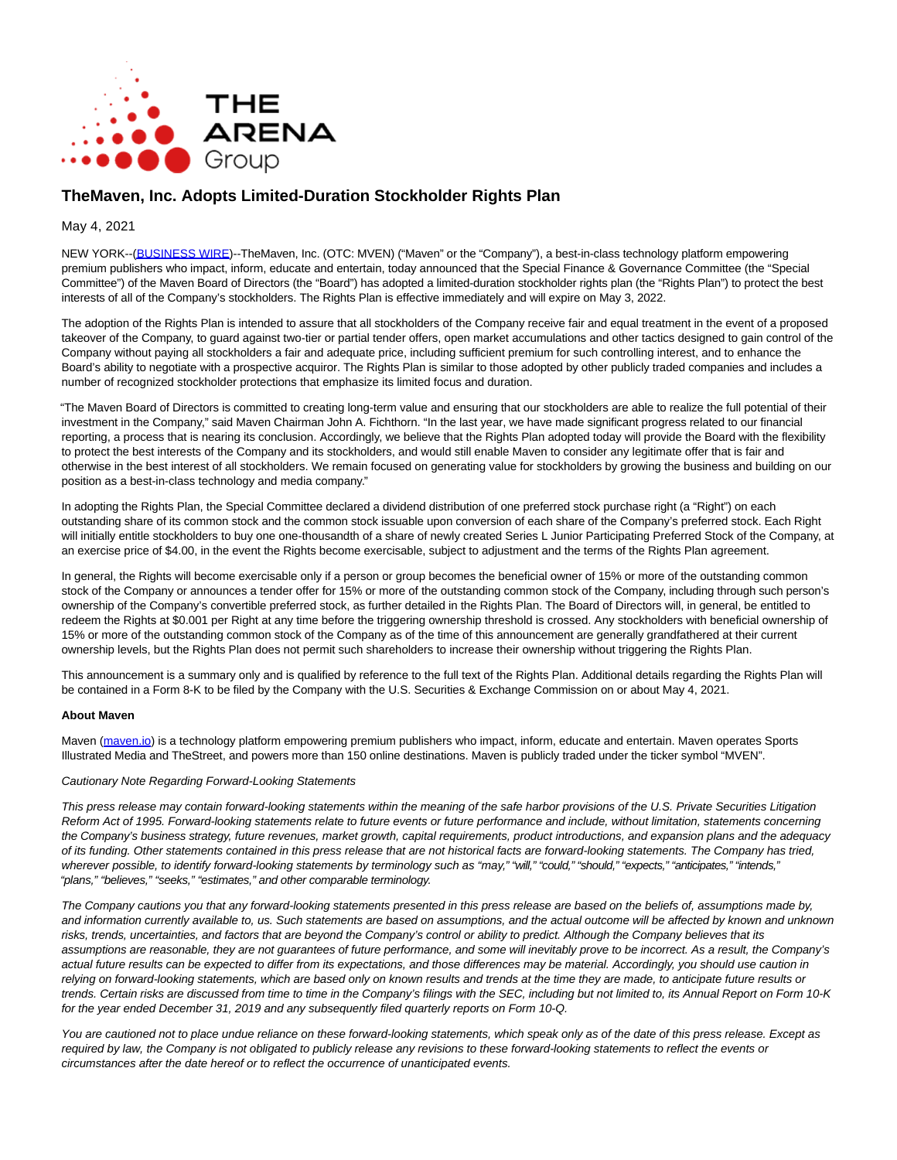

# **TheMaven, Inc. Adopts Limited-Duration Stockholder Rights Plan**

## May 4, 2021

NEW YORK--[\(BUSINESS WIRE\)-](https://www.businesswire.com/)-TheMaven, Inc. (OTC: MVEN) ("Maven" or the "Company"), a best-in-class technology platform empowering premium publishers who impact, inform, educate and entertain, today announced that the Special Finance & Governance Committee (the "Special Committee") of the Maven Board of Directors (the "Board") has adopted a limited-duration stockholder rights plan (the "Rights Plan") to protect the best interests of all of the Company's stockholders. The Rights Plan is effective immediately and will expire on May 3, 2022.

The adoption of the Rights Plan is intended to assure that all stockholders of the Company receive fair and equal treatment in the event of a proposed takeover of the Company, to guard against two-tier or partial tender offers, open market accumulations and other tactics designed to gain control of the Company without paying all stockholders a fair and adequate price, including sufficient premium for such controlling interest, and to enhance the Board's ability to negotiate with a prospective acquiror. The Rights Plan is similar to those adopted by other publicly traded companies and includes a number of recognized stockholder protections that emphasize its limited focus and duration.

"The Maven Board of Directors is committed to creating long-term value and ensuring that our stockholders are able to realize the full potential of their investment in the Company," said Maven Chairman John A. Fichthorn. "In the last year, we have made significant progress related to our financial reporting, a process that is nearing its conclusion. Accordingly, we believe that the Rights Plan adopted today will provide the Board with the flexibility to protect the best interests of the Company and its stockholders, and would still enable Maven to consider any legitimate offer that is fair and otherwise in the best interest of all stockholders. We remain focused on generating value for stockholders by growing the business and building on our position as a best-in-class technology and media company."

In adopting the Rights Plan, the Special Committee declared a dividend distribution of one preferred stock purchase right (a "Right") on each outstanding share of its common stock and the common stock issuable upon conversion of each share of the Company's preferred stock. Each Right will initially entitle stockholders to buy one one-thousandth of a share of newly created Series L Junior Participating Preferred Stock of the Company, at an exercise price of \$4.00, in the event the Rights become exercisable, subject to adjustment and the terms of the Rights Plan agreement.

In general, the Rights will become exercisable only if a person or group becomes the beneficial owner of 15% or more of the outstanding common stock of the Company or announces a tender offer for 15% or more of the outstanding common stock of the Company, including through such person's ownership of the Company's convertible preferred stock, as further detailed in the Rights Plan. The Board of Directors will, in general, be entitled to redeem the Rights at \$0.001 per Right at any time before the triggering ownership threshold is crossed. Any stockholders with beneficial ownership of 15% or more of the outstanding common stock of the Company as of the time of this announcement are generally grandfathered at their current ownership levels, but the Rights Plan does not permit such shareholders to increase their ownership without triggering the Rights Plan.

This announcement is a summary only and is qualified by reference to the full text of the Rights Plan. Additional details regarding the Rights Plan will be contained in a Form 8-K to be filed by the Company with the U.S. Securities & Exchange Commission on or about May 4, 2021.

#### **About Maven**

Maven [\(maven.io\)](https://cts.businesswire.com/ct/CT?id=smartlink&url=http%3A%2F%2Fmaven.io%2F&esheet=52422978&newsitemid=20210504005760&lan=en-US&anchor=maven.io&index=1&md5=362a708a2b4c3d954096bd4d44f6779c) is a technology platform empowering premium publishers who impact, inform, educate and entertain. Maven operates Sports Illustrated Media and TheStreet, and powers more than 150 online destinations. Maven is publicly traded under the ticker symbol "MVEN".

#### Cautionary Note Regarding Forward-Looking Statements

This press release may contain forward-looking statements within the meaning of the safe harbor provisions of the U.S. Private Securities Litigation Reform Act of 1995. Forward-looking statements relate to future events or future performance and include, without limitation, statements concerning the Company's business strategy, future revenues, market growth, capital requirements, product introductions, and expansion plans and the adequacy of its funding. Other statements contained in this press release that are not historical facts are forward-looking statements. The Company has tried, wherever possible, to identify forward-looking statements by terminology such as "may," "will," "could," "should," "expects," "anticipates," "intends," "plans," "believes," "seeks," "estimates," and other comparable terminology.

The Company cautions you that any forward-looking statements presented in this press release are based on the beliefs of, assumptions made by, and information currently available to, us. Such statements are based on assumptions, and the actual outcome will be affected by known and unknown risks, trends, uncertainties, and factors that are beyond the Company's control or ability to predict. Although the Company believes that its assumptions are reasonable, they are not guarantees of future performance, and some will inevitably prove to be incorrect. As a result, the Company's actual future results can be expected to differ from its expectations, and those differences may be material. Accordingly, you should use caution in relying on forward-looking statements, which are based only on known results and trends at the time they are made, to anticipate future results or trends. Certain risks are discussed from time to time in the Company's filings with the SEC, including but not limited to, its Annual Report on Form 10-K for the year ended December 31, 2019 and any subsequently filed quarterly reports on Form 10-Q.

You are cautioned not to place undue reliance on these forward-looking statements, which speak only as of the date of this press release. Except as required by law, the Company is not obligated to publicly release any revisions to these forward-looking statements to reflect the events or circumstances after the date hereof or to reflect the occurrence of unanticipated events.